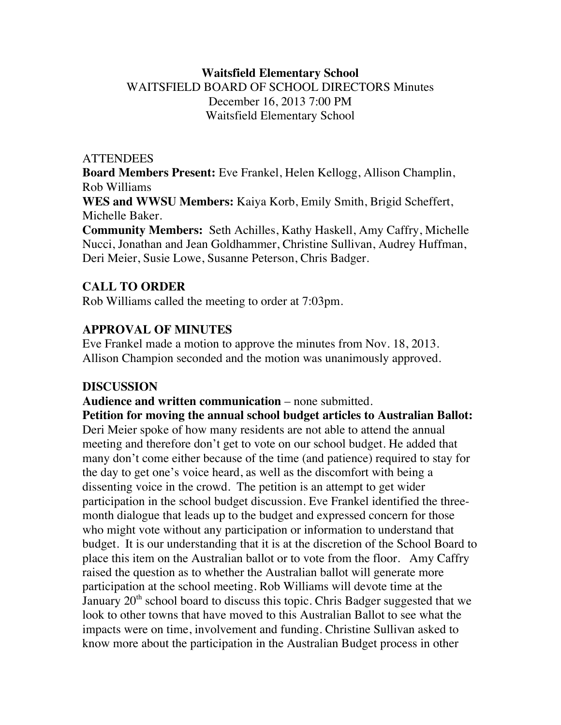## **Waitsfield Elementary School** WAITSFIELD BOARD OF SCHOOL DIRECTORS Minutes December 16, 2013 7:00 PM Waitsfield Elementary School

#### **ATTENDEES**

**Board Members Present:** Eve Frankel, Helen Kellogg, Allison Champlin, Rob Williams

**WES and WWSU Members:** Kaiya Korb, Emily Smith, Brigid Scheffert, Michelle Baker.

**Community Members:** Seth Achilles, Kathy Haskell, Amy Caffry, Michelle Nucci, Jonathan and Jean Goldhammer, Christine Sullivan, Audrey Huffman, Deri Meier, Susie Lowe, Susanne Peterson, Chris Badger.

## **CALL TO ORDER**

Rob Williams called the meeting to order at 7:03pm.

## **APPROVAL OF MINUTES**

Eve Frankel made a motion to approve the minutes from Nov. 18, 2013. Allison Champion seconded and the motion was unanimously approved.

## **DISCUSSION**

#### **Audience and written communication** – none submitted.

**Petition for moving the annual school budget articles to Australian Ballot:** Deri Meier spoke of how many residents are not able to attend the annual meeting and therefore don't get to vote on our school budget. He added that many don't come either because of the time (and patience) required to stay for the day to get one's voice heard, as well as the discomfort with being a dissenting voice in the crowd. The petition is an attempt to get wider participation in the school budget discussion. Eve Frankel identified the threemonth dialogue that leads up to the budget and expressed concern for those who might vote without any participation or information to understand that budget. It is our understanding that it is at the discretion of the School Board to place this item on the Australian ballot or to vote from the floor. Amy Caffry raised the question as to whether the Australian ballot will generate more participation at the school meeting. Rob Williams will devote time at the January  $20<sup>th</sup>$  school board to discuss this topic. Chris Badger suggested that we look to other towns that have moved to this Australian Ballot to see what the impacts were on time, involvement and funding. Christine Sullivan asked to know more about the participation in the Australian Budget process in other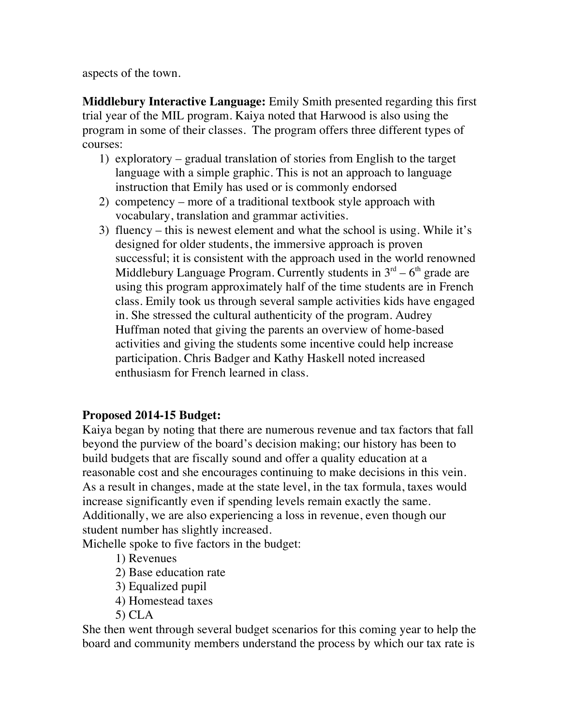aspects of the town.

**Middlebury Interactive Language:** Emily Smith presented regarding this first trial year of the MIL program. Kaiya noted that Harwood is also using the program in some of their classes. The program offers three different types of courses:

- 1) exploratory gradual translation of stories from English to the target language with a simple graphic. This is not an approach to language instruction that Emily has used or is commonly endorsed
- 2) competency more of a traditional textbook style approach with vocabulary, translation and grammar activities.
- 3) fluency this is newest element and what the school is using. While it's designed for older students, the immersive approach is proven successful; it is consistent with the approach used in the world renowned Middlebury Language Program. Currently students in  $3<sup>rd</sup> - 6<sup>th</sup>$  grade are using this program approximately half of the time students are in French class. Emily took us through several sample activities kids have engaged in. She stressed the cultural authenticity of the program. Audrey Huffman noted that giving the parents an overview of home-based activities and giving the students some incentive could help increase participation. Chris Badger and Kathy Haskell noted increased enthusiasm for French learned in class.

## **Proposed 2014-15 Budget:**

Kaiya began by noting that there are numerous revenue and tax factors that fall beyond the purview of the board's decision making; our history has been to build budgets that are fiscally sound and offer a quality education at a reasonable cost and she encourages continuing to make decisions in this vein. As a result in changes, made at the state level, in the tax formula, taxes would increase significantly even if spending levels remain exactly the same. Additionally, we are also experiencing a loss in revenue, even though our student number has slightly increased.

Michelle spoke to five factors in the budget:

- 1) Revenues
- 2) Base education rate
- 3) Equalized pupil
- 4) Homestead taxes
- 5) CLA

She then went through several budget scenarios for this coming year to help the board and community members understand the process by which our tax rate is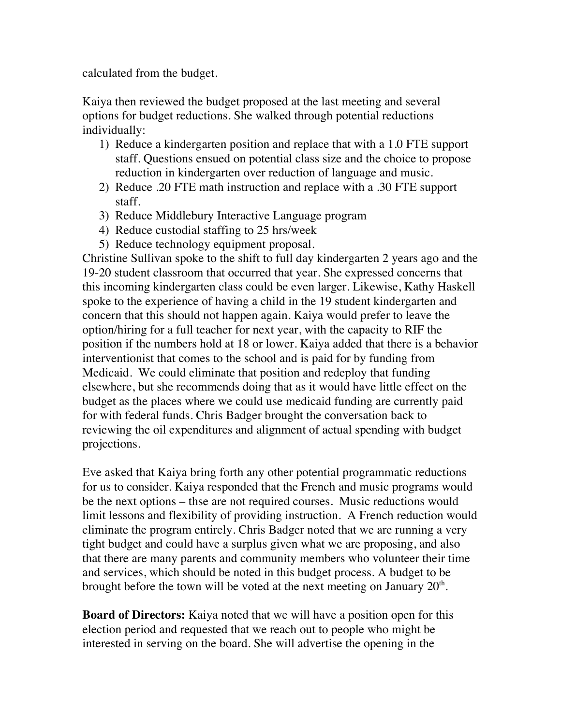calculated from the budget.

Kaiya then reviewed the budget proposed at the last meeting and several options for budget reductions. She walked through potential reductions individually:

- 1) Reduce a kindergarten position and replace that with a 1.0 FTE support staff. Questions ensued on potential class size and the choice to propose reduction in kindergarten over reduction of language and music.
- 2) Reduce .20 FTE math instruction and replace with a .30 FTE support staff.
- 3) Reduce Middlebury Interactive Language program
- 4) Reduce custodial staffing to 25 hrs/week
- 5) Reduce technology equipment proposal.

Christine Sullivan spoke to the shift to full day kindergarten 2 years ago and the 19-20 student classroom that occurred that year. She expressed concerns that this incoming kindergarten class could be even larger. Likewise, Kathy Haskell spoke to the experience of having a child in the 19 student kindergarten and concern that this should not happen again. Kaiya would prefer to leave the option/hiring for a full teacher for next year, with the capacity to RIF the position if the numbers hold at 18 or lower. Kaiya added that there is a behavior interventionist that comes to the school and is paid for by funding from Medicaid. We could eliminate that position and redeploy that funding elsewhere, but she recommends doing that as it would have little effect on the budget as the places where we could use medicaid funding are currently paid for with federal funds. Chris Badger brought the conversation back to reviewing the oil expenditures and alignment of actual spending with budget projections.

Eve asked that Kaiya bring forth any other potential programmatic reductions for us to consider. Kaiya responded that the French and music programs would be the next options – thse are not required courses. Music reductions would limit lessons and flexibility of providing instruction. A French reduction would eliminate the program entirely. Chris Badger noted that we are running a very tight budget and could have a surplus given what we are proposing, and also that there are many parents and community members who volunteer their time and services, which should be noted in this budget process. A budget to be brought before the town will be voted at the next meeting on January  $20<sup>th</sup>$ .

**Board of Directors:** Kaiya noted that we will have a position open for this election period and requested that we reach out to people who might be interested in serving on the board. She will advertise the opening in the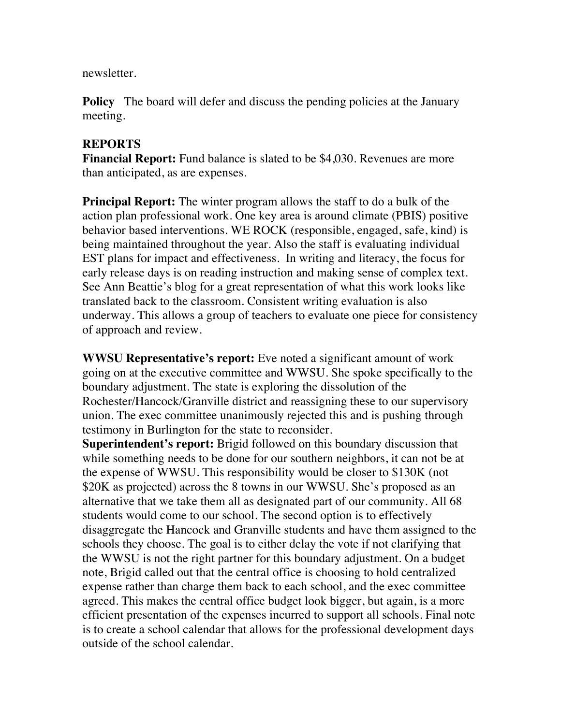newsletter.

**Policy** The board will defer and discuss the pending policies at the January meeting.

## **REPORTS**

**Financial Report:** Fund balance is slated to be \$4,030. Revenues are more than anticipated, as are expenses.

**Principal Report:** The winter program allows the staff to do a bulk of the action plan professional work. One key area is around climate (PBIS) positive behavior based interventions. WE ROCK (responsible, engaged, safe, kind) is being maintained throughout the year. Also the staff is evaluating individual EST plans for impact and effectiveness. In writing and literacy, the focus for early release days is on reading instruction and making sense of complex text. See Ann Beattie's blog for a great representation of what this work looks like translated back to the classroom. Consistent writing evaluation is also underway. This allows a group of teachers to evaluate one piece for consistency of approach and review.

**WWSU Representative's report:** Eve noted a significant amount of work going on at the executive committee and WWSU. She spoke specifically to the boundary adjustment. The state is exploring the dissolution of the Rochester/Hancock/Granville district and reassigning these to our supervisory union. The exec committee unanimously rejected this and is pushing through testimony in Burlington for the state to reconsider.

**Superintendent's report:** Brigid followed on this boundary discussion that while something needs to be done for our southern neighbors, it can not be at the expense of WWSU. This responsibility would be closer to \$130K (not \$20K as projected) across the 8 towns in our WWSU. She's proposed as an alternative that we take them all as designated part of our community. All 68 students would come to our school. The second option is to effectively disaggregate the Hancock and Granville students and have them assigned to the schools they choose. The goal is to either delay the vote if not clarifying that the WWSU is not the right partner for this boundary adjustment. On a budget note, Brigid called out that the central office is choosing to hold centralized expense rather than charge them back to each school, and the exec committee agreed. This makes the central office budget look bigger, but again, is a more efficient presentation of the expenses incurred to support all schools. Final note is to create a school calendar that allows for the professional development days outside of the school calendar.